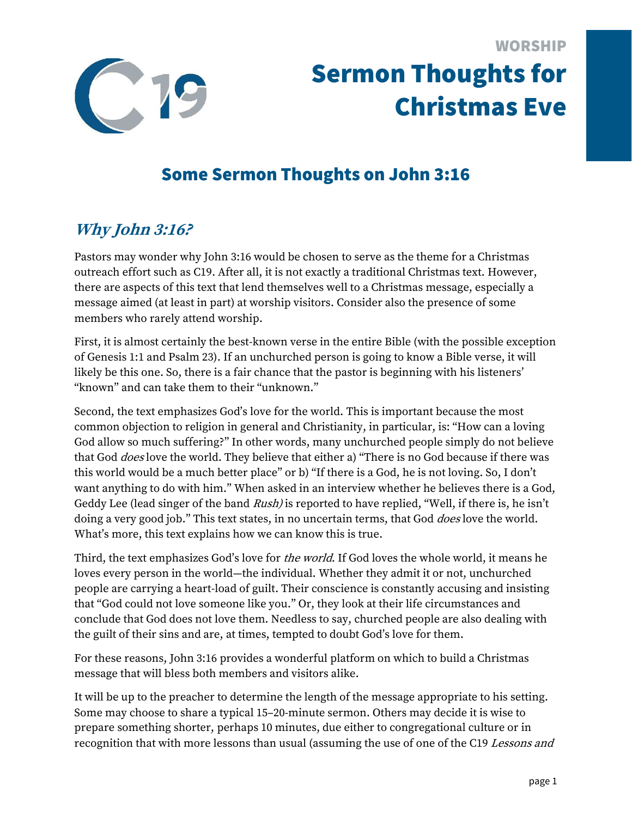

# Some Sermon Thoughts on John 3:16

## **Why John 3:16?**

Pastors may wonder why John 3:16 would be chosen to serve as the theme for a Christmas outreach effort such as C19. After all, it is not exactly a traditional Christmas text. However, there are aspects of this text that lend themselves well to a Christmas message, especially a message aimed (at least in part) at worship visitors. Consider also the presence of some members who rarely attend worship.

First, it is almost certainly the best-known verse in the entire Bible (with the possible exception of Genesis 1:1 and Psalm 23). If an unchurched person is going to know a Bible verse, it will likely be this one. So, there is a fair chance that the pastor is beginning with his listeners' "known" and can take them to their "unknown."

Second, the text emphasizes God's love for the world. This is important because the most common objection to religion in general and Christianity, in particular, is: "How can a loving God allow so much suffering?" In other words, many unchurched people simply do not believe that God *does* love the world. They believe that either a) "There is no God because if there was this world would be a much better place" or b) "If there is a God, he is not loving. So, I don't want anything to do with him." When asked in an interview whether he believes there is a God, Geddy Lee (lead singer of the band Rush) is reported to have replied, "Well, if there is, he isn't doing a very good job." This text states, in no uncertain terms, that God *does* love the world. What's more, this text explains how we can know this is true.

Third, the text emphasizes God's love for *the world*. If God loves the whole world, it means he loves every person in the world—the individual. Whether they admit it or not, unchurched people are carrying a heart-load of guilt. Their conscience is constantly accusing and insisting that "God could not love someone like you." Or, they look at their life circumstances and conclude that God does not love them. Needless to say, churched people are also dealing with the guilt of their sins and are, at times, tempted to doubt God's love for them.

For these reasons, John 3:16 provides a wonderful platform on which to build a Christmas message that will bless both members and visitors alike.

It will be up to the preacher to determine the length of the message appropriate to his setting. Some may choose to share a typical 15–20-minute sermon. Others may decide it is wise to prepare something shorter, perhaps 10 minutes, due either to congregational culture or in recognition that with more lessons than usual (assuming the use of one of the C19 Lessons and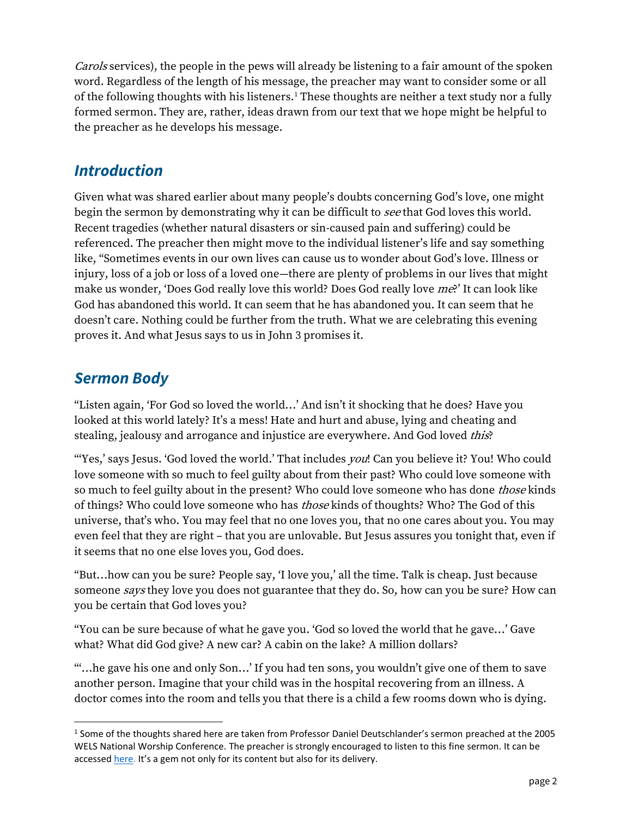Carols services), the people in the pews will already be listening to a fair amount of the spoken word. Regardless of the length of his message, the preacher may want to consider some or all of the following thoughts with his listeners.<sup>1</sup> These thoughts are neither a text study nor a fully formed sermon. They are, rather, ideas drawn from our text that we hope might be helpful to the preacher as he develops his message.

#### *Introduction*

Given what was shared earlier about many people's doubts concerning God's love, one might begin the sermon by demonstrating why it can be difficult to see that God loves this world. Recent tragedies (whether natural disasters or sin-caused pain and suffering) could be referenced. The preacher then might move to the individual listener's life and say something like, "Sometimes events in our own lives can cause us to wonder about God's love. Illness or injury, loss of a job or loss of a loved one—there are plenty of problems in our lives that might make us wonder, 'Does God really love this world? Does God really love me?' It can look like God has abandoned this world. It can seem that he has abandoned you. It can seem that he doesn't care. Nothing could be further from the truth. What we are celebrating this evening proves it. And what Jesus says to us in John 3 promises it.

#### *Sermon Body*

 $\overline{\phantom{a}}$ 

"Listen again, 'For God so loved the world…' And isn't it shocking that he does? Have you looked at this world lately? It's a mess! Hate and hurt and abuse, lying and cheating and stealing, jealousy and arrogance and injustice are everywhere. And God loved *this*?

"Yes,' says Jesus. 'God loved the world.' That includes you! Can you believe it? You! Who could love someone with so much to feel guilty about from their past? Who could love someone with so much to feel guilty about in the present? Who could love someone who has done *those* kinds of things? Who could love someone who has *those* kinds of thoughts? Who? The God of this universe, that's who. You may feel that no one loves you, that no one cares about you. You may even feel that they are right – that you are unlovable. But Jesus assures you tonight that, even if it seems that no one else loves you, God does.

"But…how can you be sure? People say, 'I love you,' all the time. Talk is cheap. Just because someone says they love you does not guarantee that they do. So, how can you be sure? How can you be certain that God loves you?

"You can be sure because of what he gave you. 'God so loved the world that he gave…' Gave what? What did God give? A new car? A cabin on the lake? A million dollars?

"'…he gave his one and only Son…' If you had ten sons, you wouldn't give one of them to save another person. Imagine that your child was in the hospital recovering from an illness. A doctor comes into the room and tells you that there is a child a few rooms down who is dying.

<sup>&</sup>lt;sup>1</sup> Some of the thoughts shared here are taken from Professor Daniel Deutschlander's sermon preached at the 2005 WELS National Worship Conference. The preacher is strongly encouraged to listen to this fine sermon. It can be accesse[d here.](https://wels2.blob.core.windows.net/worship/CS-C19-Sermon_ForGodSoLovedTheWorld-072019.mp3) It's a gem not only for its content but also for its delivery.